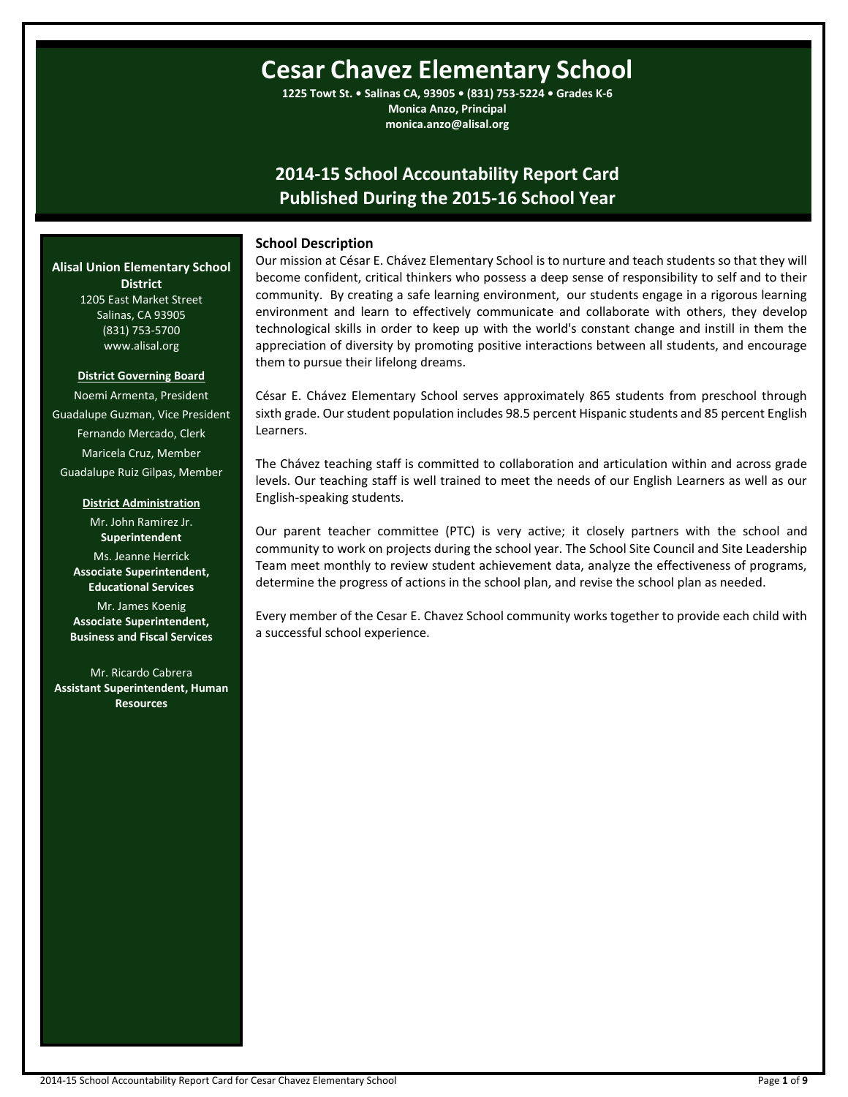# **Cesar Chavez Elementary School**

**1225 Towt St. • Salinas CA, 93905 • (831) 753-5224 • Grades K-6 Monica Anzo, Principal monica.anzo@alisal.org**

## **2014-15 School Accountability Report Card Published During the 2015-16 School Year**

### **School Description**

Our mission at César E. Chávez Elementary School is to nurture and teach students so that they will become confident, critical thinkers who possess a deep sense of responsibility to self and to their community. By creating a safe learning environment, our students engage in a rigorous learning environment and learn to effectively communicate and collaborate with others, they develop technological skills in order to keep up with the world's constant change and instill in them the appreciation of diversity by promoting positive interactions between all students, and encourage them to pursue their lifelong dreams.

César E. Chávez Elementary School serves approximately 865 students from preschool through sixth grade. Our student population includes 98.5 percent Hispanic students and 85 percent English Learners.

The Chávez teaching staff is committed to collaboration and articulation within and across grade levels. Our teaching staff is well trained to meet the needs of our English Learners as well as our English-speaking students.

Our parent teacher committee (PTC) is very active; it closely partners with the school and community to work on projects during the school year. The School Site Council and Site Leadership Team meet monthly to review student achievement data, analyze the effectiveness of programs, determine the progress of actions in the school plan, and revise the school plan as needed.

Every member of the Cesar E. Chavez School community works together to provide each child with a successful school experience.

**Alisal Union Elementary School District** 1205 East Market Street Salinas, CA 93905 (831) 753-5700

**District Governing Board**

www.alisal.org

Noemi Armenta, President Guadalupe Guzman, Vice President Fernando Mercado, Clerk Maricela Cruz, Member Guadalupe Ruiz Gilpas, Member

**District Administration**

Mr. John Ramirez Jr. **Superintendent** Ms. Jeanne Herrick **Associate Superintendent, Educational Services**

Mr. James Koenig **Associate Superintendent, Business and Fiscal Services**

Mr. Ricardo Cabrera **Assistant Superintendent, Human Resources**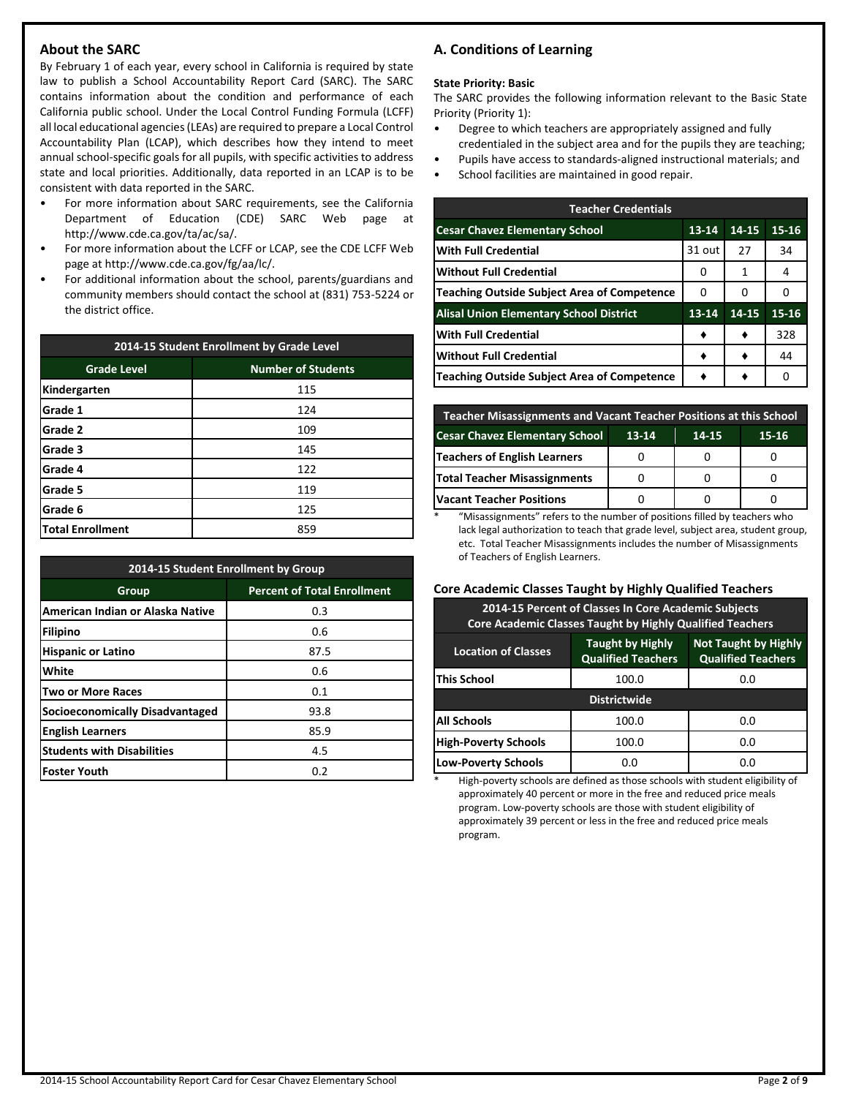### **About the SARC**

By February 1 of each year, every school in California is required by state law to publish a School Accountability Report Card (SARC). The SARC contains information about the condition and performance of each California public school. Under the Local Control Funding Formula (LCFF) all local educational agencies (LEAs) are required to prepare a Local Control Accountability Plan (LCAP), which describes how they intend to meet annual school-specific goals for all pupils, with specific activities to address state and local priorities. Additionally, data reported in an LCAP is to be consistent with data reported in the SARC.

- For more information about SARC requirements, see the California Department of Education (CDE) SARC Web page at http://www.cde.ca.gov/ta/ac/sa/.
- For more information about the LCFF or LCAP, see the CDE LCFF Web page at http://www.cde.ca.gov/fg/aa/lc/.
- For additional information about the school, parents/guardians and community members should contact the school at (831) 753-5224 or the district office.

| 2014-15 Student Enrollment by Grade Level |                           |  |  |  |
|-------------------------------------------|---------------------------|--|--|--|
| <b>Grade Level</b>                        | <b>Number of Students</b> |  |  |  |
| Kindergarten                              | 115                       |  |  |  |
| <b>Grade 1</b>                            | 124                       |  |  |  |
| Grade 2                                   | 109                       |  |  |  |
| Grade 3                                   | 145                       |  |  |  |
| Grade 4                                   | 122                       |  |  |  |
| Grade 5                                   | 119                       |  |  |  |
| Grade 6<br>125                            |                           |  |  |  |
| <b>Total Enrollment</b><br>859            |                           |  |  |  |

| 2014-15 Student Enrollment by Group |                                    |  |  |  |
|-------------------------------------|------------------------------------|--|--|--|
| Group                               | <b>Percent of Total Enrollment</b> |  |  |  |
| American Indian or Alaska Native    | 0.3                                |  |  |  |
| Filipino                            | 0.6                                |  |  |  |
| <b>Hispanic or Latino</b>           | 87.5                               |  |  |  |
| White                               | 0.6                                |  |  |  |
| <b>Two or More Races</b>            | 0.1                                |  |  |  |
| Socioeconomically Disadvantaged     | 93.8                               |  |  |  |
| <b>English Learners</b>             | 85.9                               |  |  |  |
| <b>Students with Disabilities</b>   | 4.5                                |  |  |  |
| <b>Foster Youth</b>                 | 0.2                                |  |  |  |

### **A. Conditions of Learning**

### **State Priority: Basic**

The SARC provides the following information relevant to the Basic State Priority (Priority 1):

- Degree to which teachers are appropriately assigned and fully credentialed in the subject area and for the pupils they are teaching;
- Pupils have access to standards-aligned instructional materials; and
- School facilities are maintained in good repair.

| <b>Teacher Credentials</b>                         |           |       |       |  |  |  |
|----------------------------------------------------|-----------|-------|-------|--|--|--|
| <b>Cesar Chavez Elementary School</b>              | $13 - 14$ | 14-15 | 15-16 |  |  |  |
| <b>With Full Credential</b>                        | 31 out    | 27    | 34    |  |  |  |
| Without Full Credential                            | 0         | 1     | 4     |  |  |  |
| Teaching Outside Subject Area of Competence        | 0         | 0     | Ω     |  |  |  |
| <b>Alisal Union Elementary School District</b>     | 13-14     | 14-15 | 15-16 |  |  |  |
| <b>With Full Credential</b>                        |           |       | 328   |  |  |  |
| <b>Without Full Credential</b>                     |           |       | 44    |  |  |  |
| <b>Teaching Outside Subject Area of Competence</b> |           |       | 0     |  |  |  |

| Teacher Misassignments and Vacant Teacher Positions at this School   |  |  |  |  |  |  |
|----------------------------------------------------------------------|--|--|--|--|--|--|
| <b>Cesar Chavez Elementary School</b><br>13-14<br>$15 - 16$<br>14-15 |  |  |  |  |  |  |
| Teachers of English Learners                                         |  |  |  |  |  |  |
| Total Teacher Misassignments                                         |  |  |  |  |  |  |
| <b>Vacant Teacher Positions</b>                                      |  |  |  |  |  |  |

\* "Misassignments" refers to the number of positions filled by teachers who lack legal authorization to teach that grade level, subject area, student group, etc. Total Teacher Misassignments includes the number of Misassignments of Teachers of English Learners.

### **Core Academic Classes Taught by Highly Qualified Teachers**

| 2014-15 Percent of Classes In Core Academic Subjects<br><b>Core Academic Classes Taught by Highly Qualified Teachers</b>                       |       |     |  |  |  |  |
|------------------------------------------------------------------------------------------------------------------------------------------------|-------|-----|--|--|--|--|
| <b>Not Taught by Highly</b><br><b>Taught by Highly</b><br><b>Location of Classes</b><br><b>Qualified Teachers</b><br><b>Qualified Teachers</b> |       |     |  |  |  |  |
| This School<br>100.0<br>0.0                                                                                                                    |       |     |  |  |  |  |
| <b>Districtwide</b>                                                                                                                            |       |     |  |  |  |  |
| <b>All Schools</b>                                                                                                                             | 100.0 | 0.0 |  |  |  |  |
| <b>High-Poverty Schools</b><br>100.0<br>0.0                                                                                                    |       |     |  |  |  |  |
| <b>Low-Poverty Schools</b><br>0.O<br>0.O                                                                                                       |       |     |  |  |  |  |

High-poverty schools are defined as those schools with student eligibility of approximately 40 percent or more in the free and reduced price meals program. Low-poverty schools are those with student eligibility of approximately 39 percent or less in the free and reduced price meals program.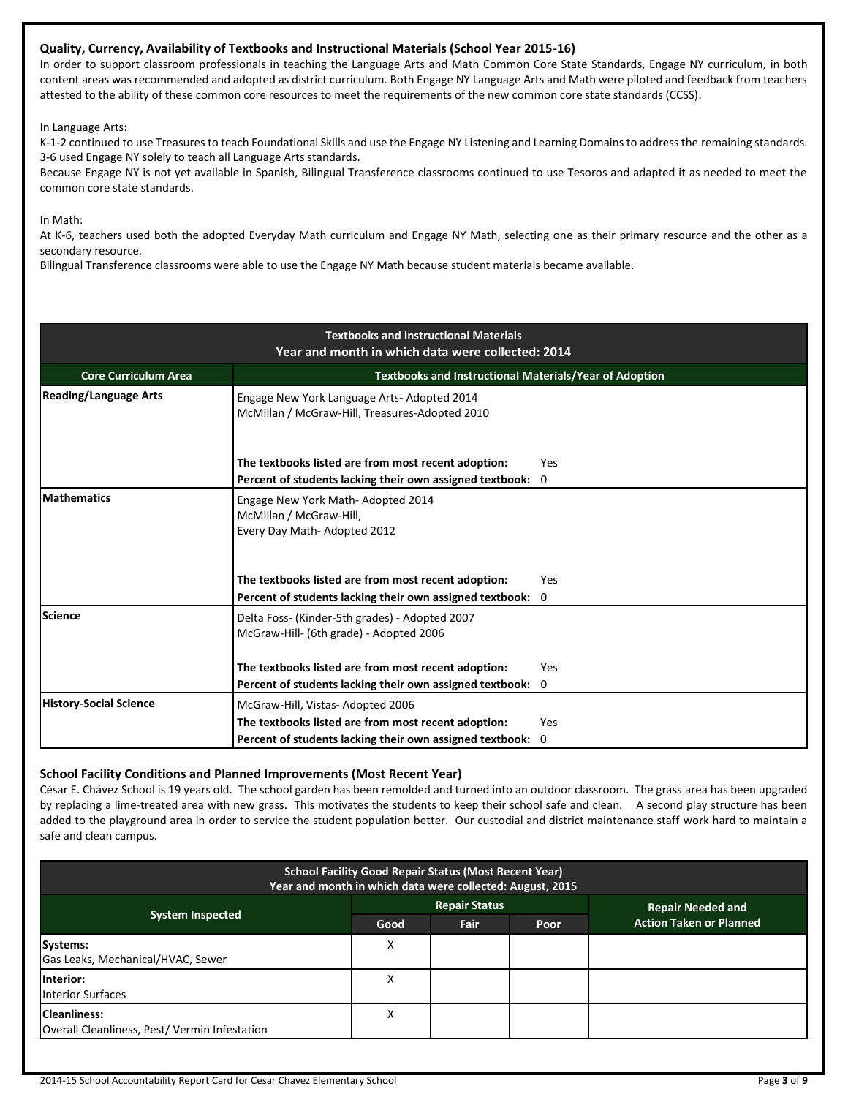### **Quality, Currency, Availability of Textbooks and Instructional Materials (School Year 2015-16)**

In order to support classroom professionals in teaching the Language Arts and Math Common Core State Standards, Engage NY curriculum, in both content areas was recommended and adopted as district curriculum. Both Engage NY Language Arts and Math were piloted and feedback from teachers attested to the ability of these common core resources to meet the requirements of the new common core state standards (CCSS).

In Language Arts:

K-1-2 continued to use Treasures to teach Foundational Skills and use the Engage NY Listening and Learning Domains to address the remaining standards. 3-6 used Engage NY solely to teach all Language Arts standards.

Because Engage NY is not yet available in Spanish, Bilingual Transference classrooms continued to use Tesoros and adapted it as needed to meet the common core state standards.

In Math:

At K-6, teachers used both the adopted Everyday Math curriculum and Engage NY Math, selecting one as their primary resource and the other as a secondary resource.

Bilingual Transference classrooms were able to use the Engage NY Math because student materials became available.

| <b>Textbooks and Instructional Materials</b><br>Year and month in which data were collected: 2014 |                                                                                                                   |          |  |  |  |  |
|---------------------------------------------------------------------------------------------------|-------------------------------------------------------------------------------------------------------------------|----------|--|--|--|--|
| Textbooks and Instructional Materials/Year of Adoption<br><b>Core Curriculum Area</b>             |                                                                                                                   |          |  |  |  |  |
| <b>Reading/Language Arts</b>                                                                      | Engage New York Language Arts-Adopted 2014<br>McMillan / McGraw-Hill, Treasures-Adopted 2010                      |          |  |  |  |  |
|                                                                                                   | The textbooks listed are from most recent adoption:<br>Percent of students lacking their own assigned textbook:   | Yes<br>0 |  |  |  |  |
| <b>Mathematics</b>                                                                                | Engage New York Math-Adopted 2014<br>McMillan / McGraw-Hill,<br>Every Day Math-Adopted 2012                       |          |  |  |  |  |
|                                                                                                   | The textbooks listed are from most recent adoption:<br>Percent of students lacking their own assigned textbook: 0 | Yes      |  |  |  |  |
| Science                                                                                           | Delta Foss- (Kinder-5th grades) - Adopted 2007<br>McGraw-Hill- (6th grade) - Adopted 2006                         |          |  |  |  |  |
|                                                                                                   | The textbooks listed are from most recent adoption:                                                               | Yes      |  |  |  |  |
| <b>History-Social Science</b>                                                                     | Percent of students lacking their own assigned textbook:<br>McGraw-Hill, Vistas-Adopted 2006                      | 0        |  |  |  |  |
|                                                                                                   | The textbooks listed are from most recent adoption:                                                               | Yes      |  |  |  |  |
|                                                                                                   | Percent of students lacking their own assigned textbook:                                                          | 0        |  |  |  |  |

### **School Facility Conditions and Planned Improvements (Most Recent Year)**

César E. Chávez School is 19 years old. The school garden has been remolded and turned into an outdoor classroom. The grass area has been upgraded by replacing a lime-treated area with new grass. This motivates the students to keep their school safe and clean. A second play structure has been added to the playground area in order to service the student population better. Our custodial and district maintenance staff work hard to maintain a safe and clean campus.

| <b>School Facility Good Repair Status (Most Recent Year)</b><br>Year and month in which data were collected: August, 2015 |      |                      |      |                                |  |  |
|---------------------------------------------------------------------------------------------------------------------------|------|----------------------|------|--------------------------------|--|--|
|                                                                                                                           |      | <b>Repair Status</b> |      | <b>Repair Needed and</b>       |  |  |
| <b>System Inspected</b>                                                                                                   | Good | Fair                 | Poor | <b>Action Taken or Planned</b> |  |  |
| Systems:<br>Gas Leaks, Mechanical/HVAC, Sewer                                                                             | х    |                      |      |                                |  |  |
| Interior:<br><b>Interior Surfaces</b>                                                                                     | х    |                      |      |                                |  |  |
| <b>Cleanliness:</b><br>Overall Cleanliness, Pest/Vermin Infestation                                                       | х    |                      |      |                                |  |  |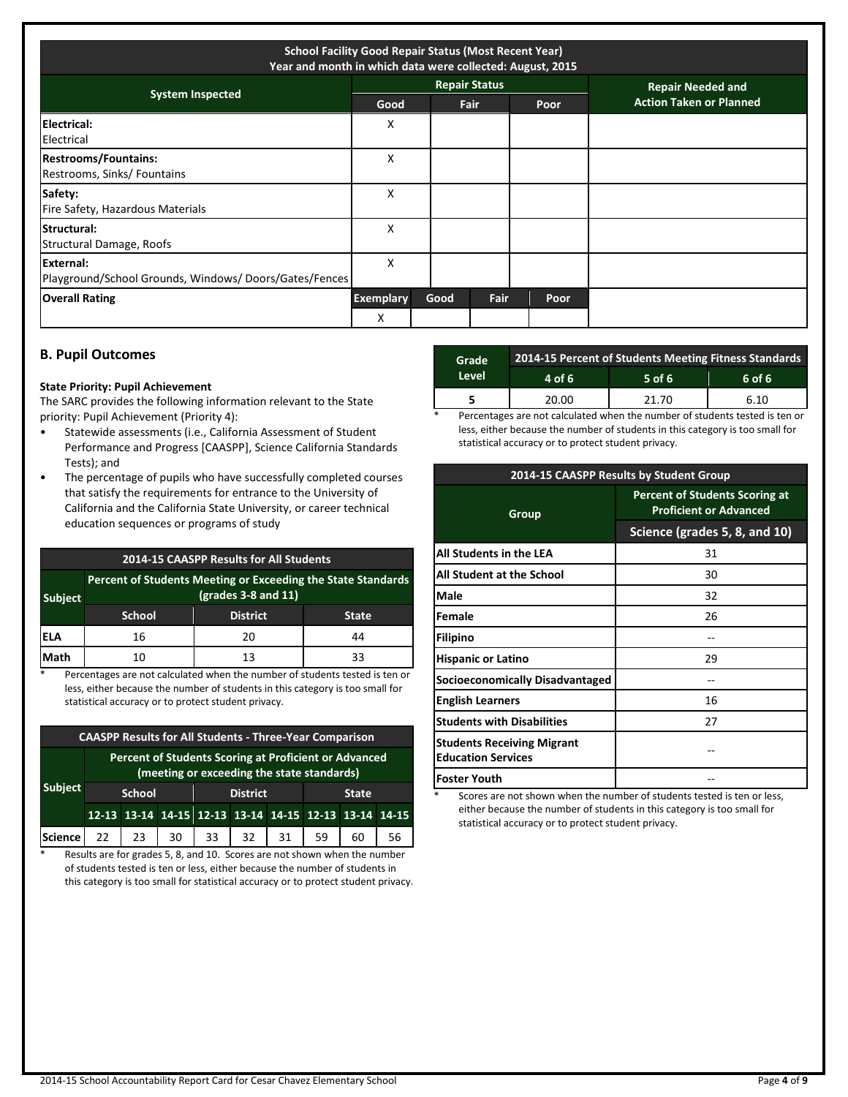| <b>School Facility Good Repair Status (Most Recent Year)</b><br>Year and month in which data were collected: August, 2015 |                  |      |                      |  |      |                                |
|---------------------------------------------------------------------------------------------------------------------------|------------------|------|----------------------|--|------|--------------------------------|
| <b>System Inspected</b>                                                                                                   |                  |      | <b>Repair Status</b> |  |      | <b>Repair Needed and</b>       |
|                                                                                                                           | Good             |      | Fair                 |  | Poor | <b>Action Taken or Planned</b> |
| Electrical:<br>Electrical                                                                                                 | x                |      |                      |  |      |                                |
| <b>Restrooms/Fountains:</b><br>Restrooms, Sinks/ Fountains                                                                | x                |      |                      |  |      |                                |
| Safety:<br>Fire Safety, Hazardous Materials                                                                               | X                |      |                      |  |      |                                |
| Structural:<br>Structural Damage, Roofs                                                                                   | X                |      |                      |  |      |                                |
| External:<br>Playground/School Grounds, Windows/Doors/Gates/Fences                                                        | x                |      |                      |  |      |                                |
| <b>Overall Rating</b>                                                                                                     | <b>Exemplary</b> | Good | Fair                 |  | Poor |                                |
|                                                                                                                           | X                |      |                      |  |      |                                |

### **B. Pupil Outcomes**

### **State Priority: Pupil Achievement**

The SARC provides the following information relevant to the State priority: Pupil Achievement (Priority 4):

- Statewide assessments (i.e., California Assessment of Student Performance and Progress [CAASPP], Science California Standards Tests); and
- The percentage of pupils who have successfully completed courses that satisfy the requirements for entrance to the University of California and the California State University, or career technical education sequences or programs of study

| 2014-15 CAASPP Results for All Students                                                                 |               |                 |              |  |  |
|---------------------------------------------------------------------------------------------------------|---------------|-----------------|--------------|--|--|
| Percent of Students Meeting or Exceeding the State Standards<br>$(grades 3-8 and 11)$<br><b>Subject</b> |               |                 |              |  |  |
|                                                                                                         | <b>School</b> | <b>District</b> | <b>State</b> |  |  |
| IELA                                                                                                    | 16            | 20              | 44           |  |  |
| Math                                                                                                    | 10            | 13              | 33           |  |  |

Percentages are not calculated when the number of students tested is ten or less, either because the number of students in this category is too small for statistical accuracy or to protect student privacy.

| <b>CAASPP Results for All Students - Three-Year Comparison</b> |                                                                                                     |               |    |                 |    |    |              |                                                       |    |
|----------------------------------------------------------------|-----------------------------------------------------------------------------------------------------|---------------|----|-----------------|----|----|--------------|-------------------------------------------------------|----|
|                                                                | Percent of Students Scoring at Proficient or Advanced<br>(meeting or exceeding the state standards) |               |    |                 |    |    |              |                                                       |    |
| <b>Subject</b>                                                 |                                                                                                     | <b>School</b> |    | <b>District</b> |    |    | <b>State</b> |                                                       |    |
|                                                                |                                                                                                     |               |    |                 |    |    |              | 12-13 13-14 14-15 12-13 13-14 14-15 12-13 13-14 14-15 |    |
| Science                                                        | 22                                                                                                  | 23            | 30 | 33              | 32 | 31 | 59           | 60                                                    | 56 |

\* Results are for grades 5, 8, and 10. Scores are not shown when the number of students tested is ten or less, either because the number of students in this category is too small for statistical accuracy or to protect student privacy.

| Grade | 2014-15 Percent of Students Meeting Fitness Standards |          |            |  |  |  |
|-------|-------------------------------------------------------|----------|------------|--|--|--|
| Level | 4 of 6                                                | $5$ of 6 | $6$ of $6$ |  |  |  |
|       | 20.00                                                 | 21.70    | 6.10       |  |  |  |
|       |                                                       | $-$      | $\sim$     |  |  |  |

Percentages are not calculated when the number of students tested is ten or less, either because the number of students in this category is too small for statistical accuracy or to protect student privacy.

| 2014-15 CAASPP Results by Student Group                        |                                                                        |  |  |  |  |
|----------------------------------------------------------------|------------------------------------------------------------------------|--|--|--|--|
| Group                                                          | <b>Percent of Students Scoring at</b><br><b>Proficient or Advanced</b> |  |  |  |  |
|                                                                | Science (grades 5, 8, and 10)                                          |  |  |  |  |
| All Students in the LEA                                        | 31                                                                     |  |  |  |  |
| All Student at the School                                      | 30                                                                     |  |  |  |  |
| Male                                                           | 32                                                                     |  |  |  |  |
| Female                                                         | 26                                                                     |  |  |  |  |
| <b>Filipino</b>                                                |                                                                        |  |  |  |  |
| <b>Hispanic or Latino</b>                                      | 29                                                                     |  |  |  |  |
| <b>Socioeconomically Disadvantaged</b>                         |                                                                        |  |  |  |  |
| <b>English Learners</b>                                        | 16                                                                     |  |  |  |  |
| <b>Students with Disabilities</b>                              | 27                                                                     |  |  |  |  |
| <b>Students Receiving Migrant</b><br><b>Education Services</b> |                                                                        |  |  |  |  |
| <b>Foster Youth</b>                                            |                                                                        |  |  |  |  |

Scores are not shown when the number of students tested is ten or less, either because the number of students in this category is too small for statistical accuracy or to protect student privacy.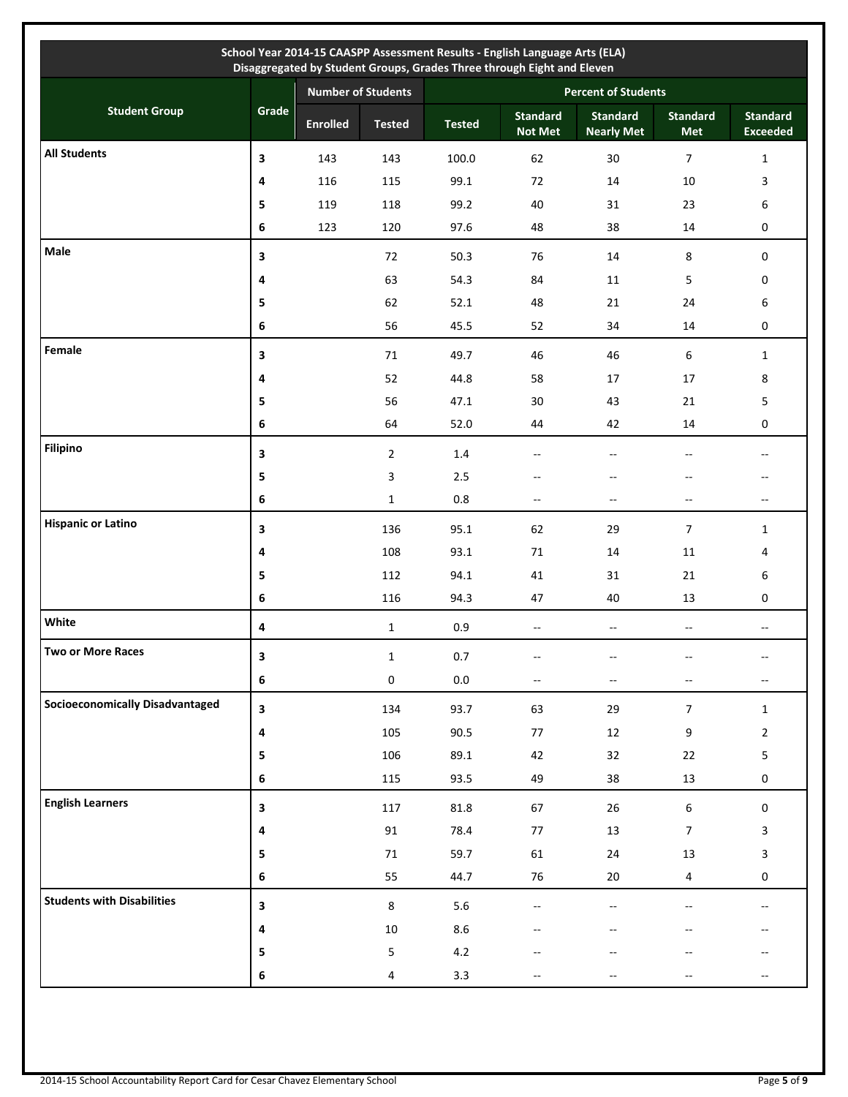|                                        |                         |                           |                |               | School Year 2014-15 CAASPP Assessment Results - English Language Arts (ELA)<br>Disaggregated by Student Groups, Grades Three through Eight and Eleven |                                      |                          |                                    |  |  |
|----------------------------------------|-------------------------|---------------------------|----------------|---------------|-------------------------------------------------------------------------------------------------------------------------------------------------------|--------------------------------------|--------------------------|------------------------------------|--|--|
|                                        |                         | <b>Number of Students</b> |                |               | <b>Percent of Students</b>                                                                                                                            |                                      |                          |                                    |  |  |
| <b>Student Group</b>                   | Grade                   | <b>Enrolled</b>           | <b>Tested</b>  | <b>Tested</b> | <b>Standard</b><br><b>Not Met</b>                                                                                                                     | <b>Standard</b><br><b>Nearly Met</b> | <b>Standard</b><br>Met   | <b>Standard</b><br><b>Exceeded</b> |  |  |
| <b>All Students</b>                    | 3                       | 143                       | 143            | 100.0         | 62                                                                                                                                                    | 30                                   | $\overline{7}$           | $\mathbf{1}$                       |  |  |
|                                        | 4                       | 116                       | 115            | 99.1          | 72                                                                                                                                                    | 14                                   | 10                       | 3                                  |  |  |
|                                        | 5                       | 119                       | 118            | 99.2          | 40                                                                                                                                                    | 31                                   | 23                       | 6                                  |  |  |
|                                        | 6                       | 123                       | 120            | 97.6          | 48                                                                                                                                                    | 38                                   | 14                       | $\pmb{0}$                          |  |  |
| Male                                   | 3                       |                           | 72             | 50.3          | 76                                                                                                                                                    | 14                                   | 8                        | 0                                  |  |  |
|                                        | 4                       |                           | 63             | 54.3          | 84                                                                                                                                                    | 11                                   | 5                        | 0                                  |  |  |
|                                        | 5                       |                           | 62             | 52.1          | 48                                                                                                                                                    | 21                                   | 24                       | 6                                  |  |  |
|                                        | 6                       |                           | 56             | 45.5          | 52                                                                                                                                                    | 34                                   | 14                       | 0                                  |  |  |
| Female                                 | 3                       |                           | 71             | 49.7          | 46                                                                                                                                                    | 46                                   | 6                        | $\mathbf{1}$                       |  |  |
|                                        | 4                       |                           | 52             | 44.8          | 58                                                                                                                                                    | 17                                   | 17                       | 8                                  |  |  |
|                                        | 5                       |                           | 56             | 47.1          | 30                                                                                                                                                    | 43                                   | 21                       | 5                                  |  |  |
|                                        | 6                       |                           | 64             | 52.0          | 44                                                                                                                                                    | 42                                   | 14                       | 0                                  |  |  |
| <b>Filipino</b>                        | 3                       |                           | $\overline{2}$ | 1.4           | $\overline{a}$                                                                                                                                        | $\overline{a}$                       | $-$                      | $\overline{a}$                     |  |  |
|                                        | 5                       |                           | 3              | 2.5           | $-$                                                                                                                                                   | $-$                                  | $-$                      | --                                 |  |  |
|                                        | 6                       |                           | $\mathbf{1}$   | 0.8           | $-$                                                                                                                                                   | $\mathbf{u}$                         | $\overline{\phantom{a}}$ | $- -$                              |  |  |
| <b>Hispanic or Latino</b>              | 3                       |                           | 136            | 95.1          | 62                                                                                                                                                    | 29                                   | $\overline{7}$           | $\mathbf{1}$                       |  |  |
|                                        | 4                       |                           | 108            | 93.1          | 71                                                                                                                                                    | 14                                   | 11                       | 4                                  |  |  |
|                                        | 5                       |                           | 112            | 94.1          | 41                                                                                                                                                    | 31                                   | 21                       | 6                                  |  |  |
|                                        | 6                       |                           | 116            | 94.3          | 47                                                                                                                                                    | 40                                   | 13                       | 0                                  |  |  |
| White                                  | 4                       |                           | $\mathbf{1}$   | 0.9           | $\overline{\phantom{a}}$                                                                                                                              | --                                   | $-$                      | --                                 |  |  |
| Two or More Races                      | $\mathbf{3}$            |                           | $\mathbf 1$    | $0.7\,$       |                                                                                                                                                       |                                      |                          |                                    |  |  |
|                                        | $\bf 6$                 |                           | $\pmb{0}$      | $0.0\,$       | $-$                                                                                                                                                   | $-$                                  | $\overline{a}$           | $-$                                |  |  |
| <b>Socioeconomically Disadvantaged</b> | $\mathbf{3}$            |                           | 134            | 93.7          | 63                                                                                                                                                    | 29                                   | $\overline{7}$           | $\mathbf{1}$                       |  |  |
|                                        | 4                       |                           | 105            | 90.5          | $77$                                                                                                                                                  | $12\,$                               | 9                        | $\overline{2}$                     |  |  |
|                                        | $\overline{\mathbf{5}}$ |                           | 106            | 89.1          | 42                                                                                                                                                    | 32                                   | 22                       | 5                                  |  |  |
|                                        | $\bf 6$                 |                           | 115            | 93.5          | 49                                                                                                                                                    | 38                                   | 13                       | $\boldsymbol{0}$                   |  |  |
| <b>English Learners</b>                | $\overline{\mathbf{3}}$ |                           | 117            | 81.8          | 67                                                                                                                                                    | 26                                   | 6                        | $\boldsymbol{0}$                   |  |  |
|                                        | 4                       |                           | $91\,$         | 78.4          | $77$                                                                                                                                                  | $13\,$                               | $\overline{7}$           | 3                                  |  |  |
|                                        | 5                       |                           | $71\,$         | 59.7          | 61                                                                                                                                                    | 24                                   | 13                       | 3                                  |  |  |
|                                        | $\bf 6$                 |                           | 55             | 44.7          | 76                                                                                                                                                    | $20\,$                               | $\overline{4}$           | $\pmb{0}$                          |  |  |
| <b>Students with Disabilities</b>      | $\mathbf{3}$            |                           | $\,8\,$        | 5.6           |                                                                                                                                                       | $-$                                  |                          | $\overline{a}$                     |  |  |
|                                        | 4                       |                           | $10\,$         | 8.6           |                                                                                                                                                       |                                      |                          |                                    |  |  |
|                                        | 5                       |                           | 5              | 4.2           |                                                                                                                                                       |                                      |                          |                                    |  |  |
|                                        | $\bf 6$                 |                           | 4              | 3.3           |                                                                                                                                                       |                                      |                          |                                    |  |  |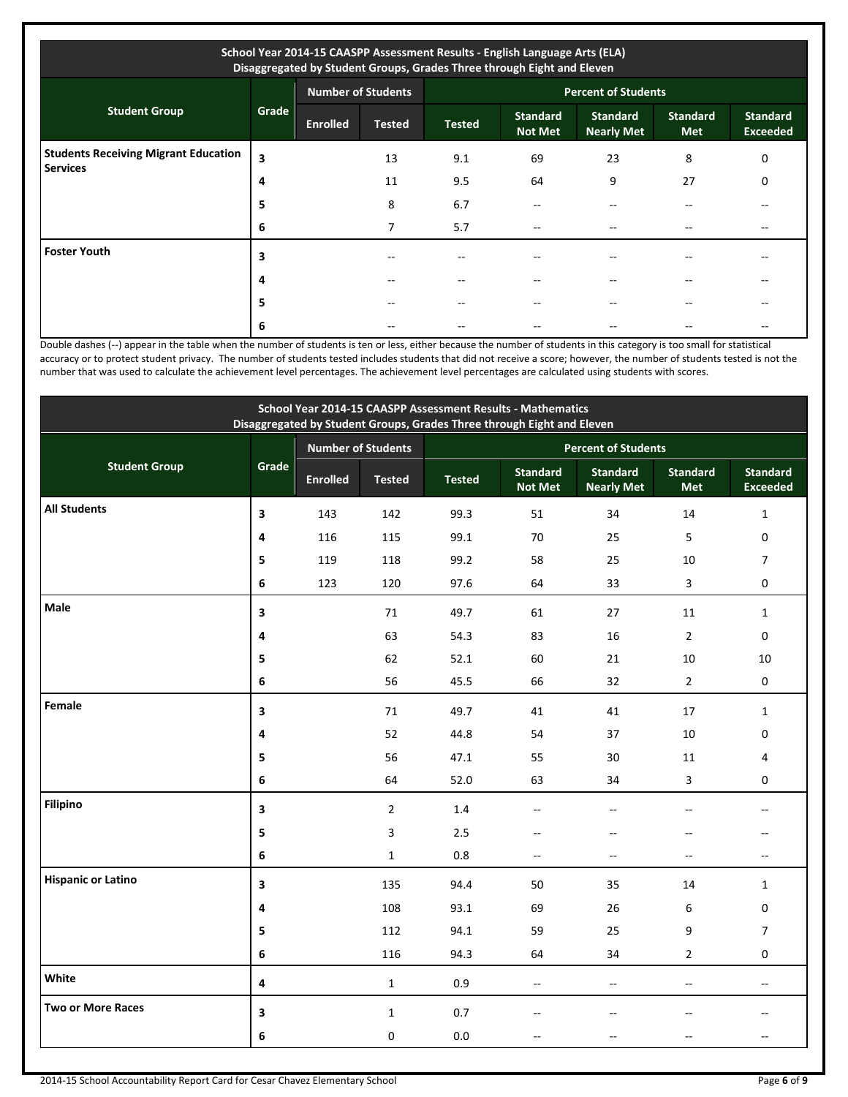| School Year 2014-15 CAASPP Assessment Results - English Language Arts (ELA)<br>Disaggregated by Student Groups, Grades Three through Eight and Eleven |       |                           |               |                            |                                   |                                      |                               |                                    |  |
|-------------------------------------------------------------------------------------------------------------------------------------------------------|-------|---------------------------|---------------|----------------------------|-----------------------------------|--------------------------------------|-------------------------------|------------------------------------|--|
|                                                                                                                                                       |       | <b>Number of Students</b> |               | <b>Percent of Students</b> |                                   |                                      |                               |                                    |  |
| <b>Student Group</b>                                                                                                                                  | Grade | <b>Enrolled</b>           | <b>Tested</b> | <b>Tested</b>              | <b>Standard</b><br><b>Not Met</b> | <b>Standard</b><br><b>Nearly Met</b> | <b>Standard</b><br><b>Met</b> | <b>Standard</b><br><b>Exceeded</b> |  |
| <b>Students Receiving Migrant Education</b><br><b>Services</b>                                                                                        | 3     |                           | 13            | 9.1                        | 69                                | 23                                   | 8                             | 0                                  |  |
|                                                                                                                                                       | 4     |                           | 11            | 9.5                        | 64                                | 9                                    | 27                            | 0                                  |  |
|                                                                                                                                                       | 5     |                           | 8             | 6.7                        |                                   |                                      |                               |                                    |  |
|                                                                                                                                                       | 6     |                           | 7             | 5.7                        | $- -$                             |                                      |                               | --                                 |  |
| <b>Foster Youth</b>                                                                                                                                   | 3     |                           |               |                            |                                   |                                      |                               |                                    |  |
|                                                                                                                                                       | 4     |                           |               | --                         | $- -$                             |                                      |                               | $- -$                              |  |
|                                                                                                                                                       | 5     |                           |               | $- -$                      | $- -$                             |                                      | --                            | --                                 |  |
|                                                                                                                                                       | 6     |                           |               |                            |                                   |                                      |                               |                                    |  |

Double dashes (--) appear in the table when the number of students is ten or less, either because the number of students in this category is too small for statistical accuracy or to protect student privacy. The number of students tested includes students that did not receive a score; however, the number of students tested is not the number that was used to calculate the achievement level percentages. The achievement level percentages are calculated using students with scores.

| School Year 2014-15 CAASPP Assessment Results - Mathematics<br>Disaggregated by Student Groups, Grades Three through Eight and Eleven |                         |                 |                           |                            |                                   |                                      |                          |                                    |  |
|---------------------------------------------------------------------------------------------------------------------------------------|-------------------------|-----------------|---------------------------|----------------------------|-----------------------------------|--------------------------------------|--------------------------|------------------------------------|--|
|                                                                                                                                       |                         |                 | <b>Number of Students</b> | <b>Percent of Students</b> |                                   |                                      |                          |                                    |  |
| <b>Student Group</b>                                                                                                                  | Grade                   | <b>Enrolled</b> | <b>Tested</b>             | <b>Tested</b>              | <b>Standard</b><br><b>Not Met</b> | <b>Standard</b><br><b>Nearly Met</b> | <b>Standard</b><br>Met   | <b>Standard</b><br><b>Exceeded</b> |  |
| <b>All Students</b>                                                                                                                   | $\overline{\mathbf{3}}$ | 143             | 142                       | 99.3                       | 51                                | 34                                   | 14                       | $\mathbf{1}$                       |  |
|                                                                                                                                       | 4                       | 116             | 115                       | 99.1                       | 70                                | 25                                   | 5                        | 0                                  |  |
|                                                                                                                                       | 5                       | 119             | 118                       | 99.2                       | 58                                | 25                                   | 10                       | $\overline{7}$                     |  |
|                                                                                                                                       | 6                       | 123             | 120                       | 97.6                       | 64                                | 33                                   | 3                        | $\mathbf 0$                        |  |
| Male                                                                                                                                  | 3                       |                 | 71                        | 49.7                       | 61                                | 27                                   | 11                       | $\mathbf{1}$                       |  |
|                                                                                                                                       | 4                       |                 | 63                        | 54.3                       | 83                                | 16                                   | $\overline{2}$           | 0                                  |  |
|                                                                                                                                       | 5                       |                 | 62                        | 52.1                       | 60                                | 21                                   | 10                       | 10                                 |  |
|                                                                                                                                       | 6                       |                 | 56                        | 45.5                       | 66                                | 32                                   | $\overline{2}$           | $\mathbf 0$                        |  |
| Female                                                                                                                                | 3                       |                 | 71                        | 49.7                       | 41                                | 41                                   | 17                       | $\mathbf{1}$                       |  |
|                                                                                                                                       | 4                       |                 | 52                        | 44.8                       | 54                                | 37                                   | 10                       | $\mathbf 0$                        |  |
|                                                                                                                                       | 5                       |                 | 56                        | 47.1                       | 55                                | 30                                   | 11                       | 4                                  |  |
|                                                                                                                                       | 6                       |                 | 64                        | 52.0                       | 63                                | 34                                   | 3                        | 0                                  |  |
| <b>Filipino</b>                                                                                                                       | $\overline{\mathbf{3}}$ |                 | $\overline{2}$            | 1.4                        | $\overline{a}$                    | $\overline{a}$                       | $\overline{a}$           | --                                 |  |
|                                                                                                                                       | 5                       |                 | 3                         | 2.5                        | $\overline{a}$                    | $-$                                  | $-$                      |                                    |  |
|                                                                                                                                       | 6                       |                 | $\mathbf{1}$              | 0.8                        | $\overline{\phantom{a}}$          | $\sim$                               | $-$                      | $\sim$ $\sim$                      |  |
| <b>Hispanic or Latino</b>                                                                                                             | 3                       |                 | 135                       | 94.4                       | 50                                | 35                                   | 14                       | $\mathbf{1}$                       |  |
|                                                                                                                                       | 4                       |                 | 108                       | 93.1                       | 69                                | 26                                   | 6                        | 0                                  |  |
|                                                                                                                                       | 5                       |                 | 112                       | 94.1                       | 59                                | 25                                   | 9                        | $\overline{7}$                     |  |
|                                                                                                                                       | 6                       |                 | 116                       | 94.3                       | 64                                | 34                                   | $\overline{2}$           | $\mathbf 0$                        |  |
| White                                                                                                                                 | 4                       |                 | $\mathbf{1}$              | 0.9                        | $\mathcal{L}_{\mathcal{F}}$       | Ξ.                                   | $\overline{\phantom{a}}$ | $\sim$ $\sim$                      |  |
| <b>Two or More Races</b>                                                                                                              | 3                       |                 | $\mathbf{1}$              | 0.7                        |                                   |                                      |                          |                                    |  |
|                                                                                                                                       | 6                       |                 | $\boldsymbol{0}$          | 0.0                        |                                   |                                      |                          |                                    |  |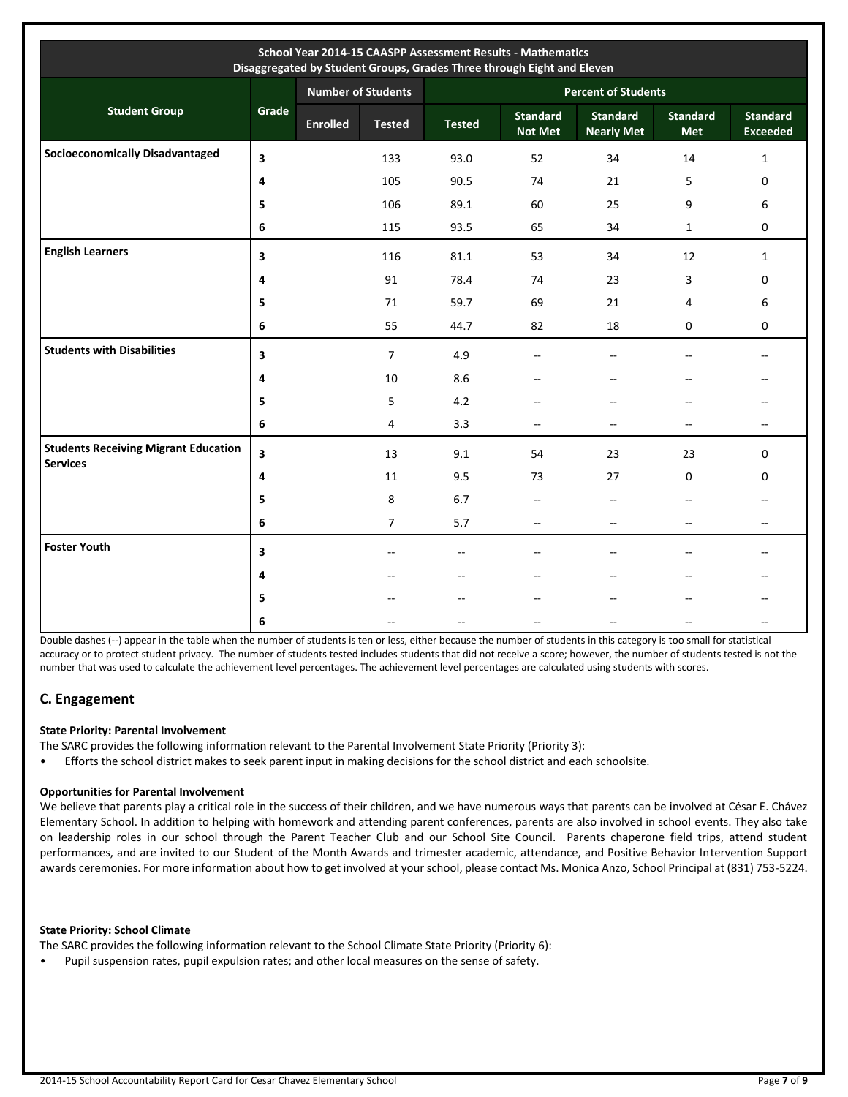| School Year 2014-15 CAASPP Assessment Results - Mathematics<br>Disaggregated by Student Groups, Grades Three through Eight and Eleven |       |                 |                           |                            |                                   |                                      |                               |                                    |  |
|---------------------------------------------------------------------------------------------------------------------------------------|-------|-----------------|---------------------------|----------------------------|-----------------------------------|--------------------------------------|-------------------------------|------------------------------------|--|
|                                                                                                                                       |       |                 | <b>Number of Students</b> | <b>Percent of Students</b> |                                   |                                      |                               |                                    |  |
| <b>Student Group</b>                                                                                                                  | Grade | <b>Enrolled</b> | <b>Tested</b>             | <b>Tested</b>              | <b>Standard</b><br><b>Not Met</b> | <b>Standard</b><br><b>Nearly Met</b> | <b>Standard</b><br><b>Met</b> | <b>Standard</b><br><b>Exceeded</b> |  |
| <b>Socioeconomically Disadvantaged</b>                                                                                                | 3     |                 | 133                       | 93.0                       | 52                                | 34                                   | 14                            | $\mathbf{1}$                       |  |
|                                                                                                                                       | 4     |                 | 105                       | 90.5                       | 74                                | 21                                   | 5                             | 0                                  |  |
|                                                                                                                                       | 5     |                 | 106                       | 89.1                       | 60                                | 25                                   | 9                             | 6                                  |  |
|                                                                                                                                       | 6     |                 | 115                       | 93.5                       | 65                                | 34                                   | $\mathbf{1}$                  | 0                                  |  |
| <b>English Learners</b>                                                                                                               | 3     |                 | 116                       | 81.1                       | 53                                | 34                                   | 12                            | $\mathbf{1}$                       |  |
|                                                                                                                                       | 4     |                 | 91                        | 78.4                       | 74                                | 23                                   | 3                             | 0                                  |  |
|                                                                                                                                       | 5     |                 | 71                        | 59.7                       | 69                                | 21                                   | 4                             | 6                                  |  |
|                                                                                                                                       | 6     |                 | 55                        | 44.7                       | 82                                | 18                                   | 0                             | 0                                  |  |
| <b>Students with Disabilities</b>                                                                                                     | 3     |                 | $\overline{7}$            | 4.9                        | $-$                               | $\overline{a}$                       | --                            | --                                 |  |
|                                                                                                                                       | 4     |                 | 10                        | 8.6                        | --                                |                                      | --                            | --                                 |  |
|                                                                                                                                       | 5     |                 | 5                         | 4.2                        | --                                | $\overline{\phantom{a}}$             | $\overline{\phantom{m}}$      | --                                 |  |
|                                                                                                                                       | 6     |                 | 4                         | 3.3                        | $-$                               | $\overline{\phantom{a}}$             | $\overline{\phantom{a}}$      | $- -$                              |  |
| <b>Students Receiving Migrant Education</b><br><b>Services</b>                                                                        | 3     |                 | 13                        | 9.1                        | 54                                | 23                                   | 23                            | 0                                  |  |
|                                                                                                                                       | 4     |                 | 11                        | 9.5                        | 73                                | 27                                   | 0                             | 0                                  |  |
|                                                                                                                                       | 5     |                 | 8                         | 6.7                        | $\overline{\phantom{a}}$          | $\overline{\phantom{a}}$             | $\overline{\phantom{a}}$      | --                                 |  |
|                                                                                                                                       | 6     |                 | $\overline{7}$            | 5.7                        | $\overline{\phantom{a}}$          | $\overline{\phantom{a}}$             | $\overline{\phantom{a}}$      | $-$                                |  |
| <b>Foster Youth</b>                                                                                                                   | 3     |                 | $-$                       | $-$                        | Щ,                                | $\overline{a}$                       | $\overline{\phantom{a}}$      | $- -$                              |  |
|                                                                                                                                       | 4     |                 |                           | --                         |                                   |                                      | $-$                           |                                    |  |
|                                                                                                                                       | 5     |                 |                           | $-$                        | $\overline{a}$                    |                                      | $-$                           | $-$                                |  |
|                                                                                                                                       | 6     |                 |                           |                            | --                                |                                      | --                            | --                                 |  |

Double dashes (--) appear in the table when the number of students is ten or less, either because the number of students in this category is too small for statistical accuracy or to protect student privacy. The number of students tested includes students that did not receive a score; however, the number of students tested is not the number that was used to calculate the achievement level percentages. The achievement level percentages are calculated using students with scores.

### **C. Engagement**

### **State Priority: Parental Involvement**

The SARC provides the following information relevant to the Parental Involvement State Priority (Priority 3):

• Efforts the school district makes to seek parent input in making decisions for the school district and each schoolsite.

### **Opportunities for Parental Involvement**

We believe that parents play a critical role in the success of their children, and we have numerous ways that parents can be involved at César E. Chávez Elementary School. In addition to helping with homework and attending parent conferences, parents are also involved in school events. They also take on leadership roles in our school through the Parent Teacher Club and our School Site Council. Parents chaperone field trips, attend student performances, and are invited to our Student of the Month Awards and trimester academic, attendance, and Positive Behavior Intervention Support awards ceremonies. For more information about how to get involved at your school, please contact Ms. Monica Anzo, School Principal at (831) 753-5224.

### **State Priority: School Climate**

The SARC provides the following information relevant to the School Climate State Priority (Priority 6):

• Pupil suspension rates, pupil expulsion rates; and other local measures on the sense of safety.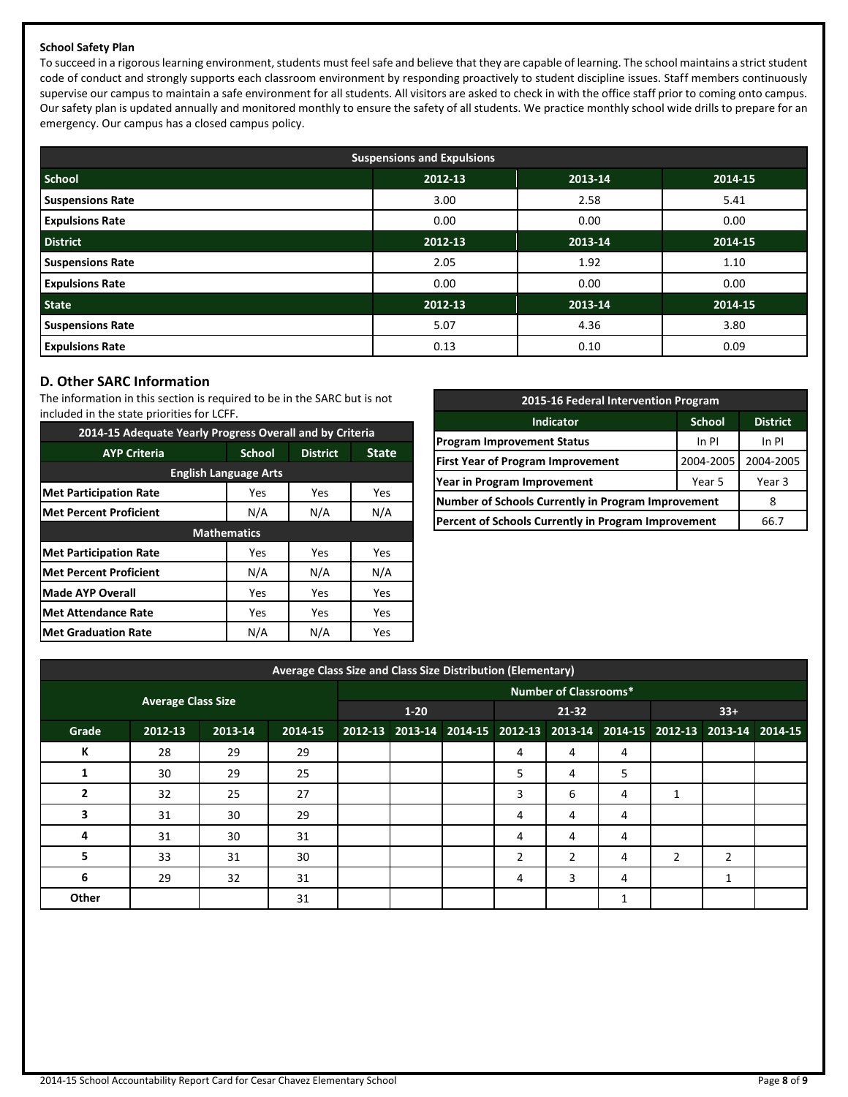### **School Safety Plan**

To succeed in a rigorous learning environment, students must feel safe and believe that they are capable of learning. The school maintains a strict student code of conduct and strongly supports each classroom environment by responding proactively to student discipline issues. Staff members continuously supervise our campus to maintain a safe environment for all students. All visitors are asked to check in with the office staff prior to coming onto campus. Our safety plan is updated annually and monitored monthly to ensure the safety of all students. We practice monthly school wide drills to prepare for an emergency. Our campus has a closed campus policy.

| <b>Suspensions and Expulsions</b> |         |         |         |  |  |  |  |  |
|-----------------------------------|---------|---------|---------|--|--|--|--|--|
| <b>School</b>                     | 2012-13 | 2013-14 | 2014-15 |  |  |  |  |  |
| <b>Suspensions Rate</b>           | 3.00    | 2.58    | 5.41    |  |  |  |  |  |
| <b>Expulsions Rate</b>            | 0.00    | 0.00    | 0.00    |  |  |  |  |  |
| <b>District</b>                   | 2012-13 | 2013-14 | 2014-15 |  |  |  |  |  |
| <b>Suspensions Rate</b>           | 2.05    | 1.92    | 1.10    |  |  |  |  |  |
| <b>Expulsions Rate</b>            | 0.00    | 0.00    | 0.00    |  |  |  |  |  |
| <b>State</b>                      | 2012-13 | 2013-14 | 2014-15 |  |  |  |  |  |
| <b>Suspensions Rate</b>           | 5.07    | 4.36    | 3.80    |  |  |  |  |  |
| <b>Expulsions Rate</b>            | 0.13    | 0.10    | 0.09    |  |  |  |  |  |

### **D. Other SARC Information**

The information in this section is required to be in the SARC but is not included in the state priorities for LCFF.

| 2014-15 Adequate Yearly Progress Overall and by Criteria |                    |                 |     |  |  |  |  |  |  |
|----------------------------------------------------------|--------------------|-----------------|-----|--|--|--|--|--|--|
| <b>AYP Criteria</b>                                      | <b>School</b>      | <b>District</b> |     |  |  |  |  |  |  |
| <b>English Language Arts</b>                             |                    |                 |     |  |  |  |  |  |  |
| <b>Met Participation Rate</b><br>Yes<br>Yes<br>Yes       |                    |                 |     |  |  |  |  |  |  |
| <b>Met Percent Proficient</b>                            | N/A<br>N/A         |                 | N/A |  |  |  |  |  |  |
|                                                          | <b>Mathematics</b> |                 |     |  |  |  |  |  |  |
| <b>Met Participation Rate</b>                            | Yes                | Yes             | Yes |  |  |  |  |  |  |
| Met Percent Proficient                                   | N/A                | N/A             | N/A |  |  |  |  |  |  |
| <b>Made AYP Overall</b>                                  | Yes                | Yes             | Yes |  |  |  |  |  |  |
| <b>Met Attendance Rate</b>                               | Yes                | Yes             | Yes |  |  |  |  |  |  |
| <b>Met Graduation Rate</b>                               | N/A                | N/A             | Yes |  |  |  |  |  |  |

| 2015-16 Federal Intervention Program                 |           |        |  |  |  |  |
|------------------------------------------------------|-----------|--------|--|--|--|--|
| <b>School</b><br><b>District</b><br><b>Indicator</b> |           |        |  |  |  |  |
| <b>Program Improvement Status</b>                    | In PI     |        |  |  |  |  |
| <b>First Year of Program Improvement</b>             | 2004-2005 |        |  |  |  |  |
| Year in Program Improvement                          | Year 5    | Year 3 |  |  |  |  |
| Number of Schools Currently in Program Improvement   |           | 8      |  |  |  |  |
| Percent of Schools Currently in Program Improvement  | 66.7      |        |  |  |  |  |

| Average Class Size and Class Size Distribution (Elementary) |                           |         |         |  |                              |  |                                                                         |                |         |       |   |  |
|-------------------------------------------------------------|---------------------------|---------|---------|--|------------------------------|--|-------------------------------------------------------------------------|----------------|---------|-------|---|--|
|                                                             |                           |         |         |  | <b>Number of Classrooms*</b> |  |                                                                         |                |         |       |   |  |
|                                                             | <b>Average Class Size</b> |         |         |  | $1 - 20$                     |  | 21-32                                                                   |                |         | $33+$ |   |  |
| Grade                                                       | 2012-13                   | 2013-14 | 2014-15 |  |                              |  | 2012-13 2013-14 2014-15 2012-13 2013-14 2014-15 2012-13 2013-14 2014-15 |                |         |       |   |  |
| К                                                           | 28                        | 29      | 29      |  |                              |  | 4                                                                       | 4              | 4       |       |   |  |
|                                                             | 30                        | 29      | 25      |  |                              |  | 5                                                                       | 4              | 5       |       |   |  |
|                                                             | 32                        | 25      | 27      |  |                              |  | 3                                                                       | 6              | 4       |       |   |  |
| 3                                                           | 31                        | 30      | 29      |  |                              |  | 4                                                                       | 4              | 4       |       |   |  |
| 4                                                           | 31                        | 30      | 31      |  |                              |  | 4                                                                       | 4              | 4       |       |   |  |
| 5                                                           | 33                        | 31      | 30      |  |                              |  | 2                                                                       | $\overline{2}$ | 4       | 2     | 2 |  |
| 6                                                           | 29                        | 32      | 31      |  |                              |  | 4                                                                       | 3              | 4       |       | 1 |  |
| Other                                                       |                           |         | 31      |  |                              |  |                                                                         |                | 1<br>Ŧ. |       |   |  |